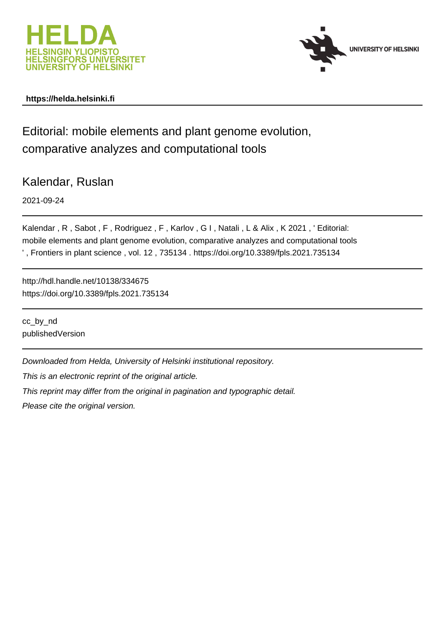



## **https://helda.helsinki.fi**

Editorial: mobile elements and plant genome evolution, comparative analyzes and computational tools

Kalendar, Ruslan

2021-09-24

Kalendar , R , Sabot , F , Rodriguez , F , Karlov , G I , Natali , L & Alix , K 2021 , ' Editorial: mobile elements and plant genome evolution, comparative analyzes and computational tools ' , Frontiers in plant science , vol. 12 , 735134 . https://doi.org/10.3389/fpls.2021.735134

http://hdl.handle.net/10138/334675 https://doi.org/10.3389/fpls.2021.735134

cc\_by\_nd publishedVersion

Downloaded from Helda, University of Helsinki institutional repository.

This is an electronic reprint of the original article.

This reprint may differ from the original in pagination and typographic detail.

Please cite the original version.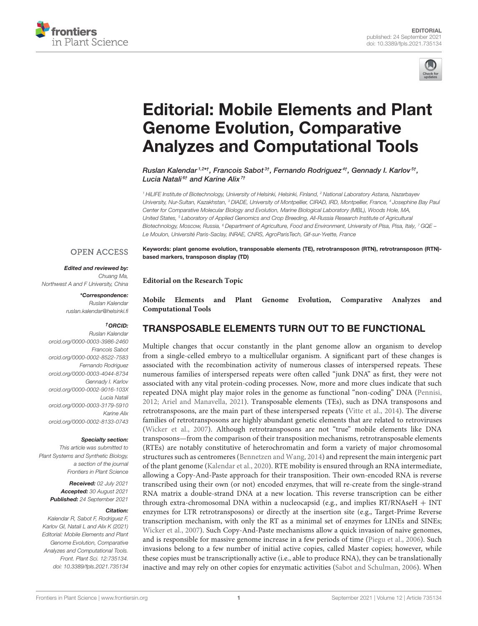



# [Editorial: Mobile Elements and Plant](https://www.frontiersin.org/articles/10.3389/fpls.2021.735134/full) Genome Evolution, Comparative Analyzes and Computational Tools

Ruslan Kalendar <sup>1,2</sup>\*†, Francois Sabot<sup>3†</sup>, Fernando Rodriguez<sup>4†</sup>, Gennady I. Karlov<sup> s†</sup>, Lucia Natali<sup>6†</sup> and Karine Alix<sup>7†</sup>

<sup>1</sup> HiLIFE Institute of Biotechnology, University of Helsinki, Helsinki, Finland, <sup>2</sup> National Laboratory Astana, Nazarbayev University, Nur-Sultan, Kazakhstan, <sup>3</sup> DIADE, University of Montpellier, CIRAD, IRD, Montpellier, France, <sup>4</sup> Josephine Bay Paul Center for Comparative Molecular Biology and Evolution, Marine Biological Laboratory (MBL), Woods Hole, MA, United States, <sup>5</sup> Laboratory of Applied Genomics and Crop Breeding, All-Russia Research Institute of Agricultural Biotechnology, Moscow, Russia, <sup>6</sup> Department of Agriculture, Food and Environment, University of Pisa, Pisa, Italy, <sup>7</sup> GQE – Le Moulon, Université Paris-Saclay, INRAE, CNRS, AgroParisTech, Gif-sur-Yvette, France

Keywords: plant genome evolution, transposable elements (TE), retrotransposon (RTN), retrotransposon (RTN)-

#### **OPEN ACCESS**

Edited and reviewed by: Chuang Ma,

Northwest A and F University, China

\*Correspondence: Ruslan Kalendar [ruslan.kalendar@helsinki.fi](mailto:ruslan.kalendar@helsinki.fi)

#### †ORCID:

Ruslan Kalendar [orcid.org/0000-0003-3986-2460](https://orcid.org/0000-0003-3986-2460) Francois Sabot [orcid.org/0000-0002-8522-7583](https://orcid.org/0000-0002-8522-7583) Fernando Rodriguez [orcid.org/0000-0003-4044-8734](https://orcid.org/0000-0003-4044-8734) Gennady I. Karlov [orcid.org/0000-0002-9016-103X](https://orcid.org/0000-0002-9016-103X) Lucia Natali [orcid.org/0000-0003-3179-5910](https://orcid.org/0000-0003-3179-5910) Karine Alix [orcid.org/0000-0002-8133-0743](https://orcid.org/0000-0002-8133-0743)

#### Specialty section:

This article was submitted to Plant Systems and Synthetic Biology, a section of the journal Frontiers in Plant Science

> Received: 02 July 2021 Accepted: 30 August 2021 Published: 24 September 2021

#### Citation:

Kalendar R, Sabot F, Rodriguez F, Karlov GL Natali L and Alix K (2021) Editorial: Mobile Elements and Plant Genome Evolution, Comparative Analyzes and Computational Tools. Front. Plant Sci. 12:735134. doi: [10.3389/fpls.2021.735134](https://doi.org/10.3389/fpls.2021.735134)

based markers, transposon display (TD)

**Editorial on the Research Topic**

**[Mobile Elements and Plant Genome Evolution, Comparative Analyzes and](https://www.frontiersin.org/research-topics/9842/mobile-elements-and-plant-genome-evolution-comparative-analyzes-and-computational-tools) Computational Tools**

# TRANSPOSABLE ELEMENTS TURN OUT TO BE FUNCTIONAL

Multiple changes that occur constantly in the plant genome allow an organism to develop from a single-celled embryo to a multicellular organism. A significant part of these changes is associated with the recombination activity of numerous classes of interspersed repeats. These numerous families of interspersed repeats were often called "junk DNA" as first, they were not associated with any vital protein-coding processes. Now, more and more clues indicate that such repeated DNA might play major roles in the genome as functional "non-coding" DNA (Pennisi, 2012; Ariel and Manavella, 2021). Transposable elements (TEs), such as DNA transposons and retrotransposons, are the main part of these interspersed repeats (Vitte et al., 2014). The diverse families of retrotransposons are highly abundant genetic elements that are related to retroviruses (Wicker et al., 2007). Although retrotransposons are not "true" mobile elements like DNA transposons—from the comparison of their transposition mechanisms, retrotransposable elements (RTEs) are notably constitutive of heterochromatin and form a variety of major chromosomal structures such as centromeres (Bennetzen and Wang, 2014) and represent the main intergenic part of the plant genome (Kalendar et al., 2020). RTE mobility is ensured through an RNA intermediate, allowing a Copy-And-Paste approach for their transposition. Their own-encoded RNA is reverse transcribed using their own (or not) encoded enzymes, that will re-create from the single-strand RNA matrix a double-strand DNA at a new location. This reverse transcription can be either through extra-chromosomal DNA within a nucleocapsid (e.g., and implies  $RT/RNAseH + INT$ enzymes for LTR retrotransposons) or directly at the insertion site (e.g., Target-Prime Reverse transcription mechanism, with only the RT as a minimal set of enzymes for LINEs and SINEs; Wicker et al., 2007). Such Copy-And-Paste mechanisms allow a quick invasion of naive genomes, and is responsible for massive genome increase in a few periods of time (Piegu et al., 2006). Such invasions belong to a few number of initial active copies, called Master copies; however, while these copies must be transcriptionally active (i.e., able to produce RNA), they can be translationally inactive and may rely on other copies for enzymatic activities (Sabot and Schulman, 2006). When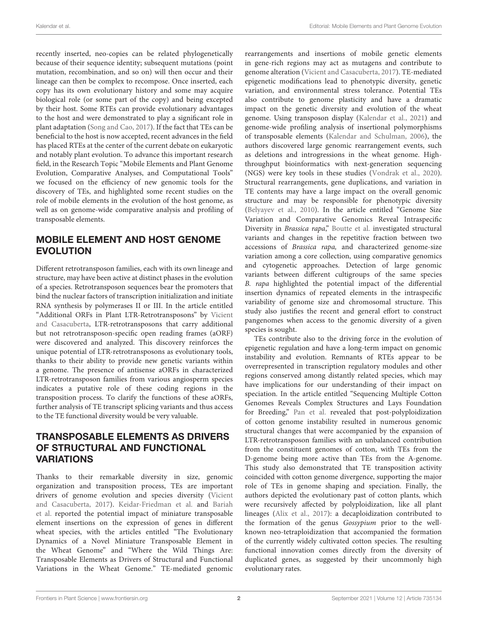recently inserted, neo-copies can be related phylogenetically because of their sequence identity; subsequent mutations (point mutation, recombination, and so on) will then occur and their lineage can then be complex to recompose. Once inserted, each copy has its own evolutionary history and some may acquire biological role (or some part of the copy) and being excepted by their host. Some RTEs can provide evolutionary advantages to the host and were demonstrated to play a significant role in plant adaptation (Song and Cao, 2017). If the fact that TEs can be beneficial to the host is now accepted, recent advances in the field has placed RTEs at the center of the current debate on eukaryotic and notably plant evolution. To advance this important research field, in the Research Topic "Mobile Elements and Plant Genome Evolution, Comparative Analyses, and Computational Tools" we focused on the efficiency of new genomic tools for the discovery of TEs, and highlighted some recent studies on the role of mobile elements in the evolution of the host genome, as well as on genome-wide comparative analysis and profiling of transposable elements.

# MOBILE ELEMENT AND HOST GENOME EVOLUTION

Different retrotransposon families, each with its own lineage and structure, may have been active at distinct phases in the evolution of a species. Retrotransposon sequences bear the promoters that bind the nuclear factors of transcription initialization and initiate RNA synthesis by polymerases II or III. In the article entitled "Additional ORFs in Plant LTR-Retrotransposons" by Vicient [and Casacuberta, LTR-retrotransposons that carry additional](https://doi.org/10.3389/fpls.2020.00555) but not retrotransposon-specific open reading frames (aORF) were discovered and analyzed. This discovery reinforces the unique potential of LTR-retrotransposons as evolutionary tools, thanks to their ability to provide new genetic variants within a genome. The presence of antisense aORFs in characterized LTR-retrotransposon families from various angiosperm species indicates a putative role of these coding regions in the transposition process. To clarify the functions of these aORFs, further analysis of TE transcript splicing variants and thus access to the TE functional diversity would be very valuable.

## TRANSPOSABLE ELEMENTS AS DRIVERS OF STRUCTURAL AND FUNCTIONAL VARIATIONS

Thanks to their remarkable diversity in size, genomic organization and transposition process, TEs are important drivers of genome evolution and species diversity (Vicient and Casacuberta, 2017). [Keidar-Friedman et al.](https://doi.org/10.3389/fpls.2020.01173) and Bariah et al. [reported the potential impact of miniature transposable](https://doi.org/10.3389/fpls.2020.585515) element insertions on the expression of genes in different wheat species, with the articles entitled "The Evolutionary Dynamics of a Novel Miniature Transposable Element in the Wheat Genome" and "Where the Wild Things Are: Transposable Elements as Drivers of Structural and Functional Variations in the Wheat Genome." TE-mediated genomic rearrangements and insertions of mobile genetic elements in gene-rich regions may act as mutagens and contribute to genome alteration (Vicient and Casacuberta, 2017). TE-mediated epigenetic modifications lead to phenotypic diversity, genetic variation, and environmental stress tolerance. Potential TEs also contribute to genome plasticity and have a dramatic impact on the genetic diversity and evolution of the wheat genome. Using transposon display (Kalendar et al., 2021) and genome-wide profiling analysis of insertional polymorphisms of transposable elements (Kalendar and Schulman, 2006), the authors discovered large genomic rearrangement events, such as deletions and introgressions in the wheat genome. Highthroughput bioinformatics with next-generation sequencing (NGS) were key tools in these studies (Vondrak et al., 2020). Structural rearrangements, gene duplications, and variation in TE contents may have a large impact on the overall genomic structure and may be responsible for phenotypic diversity (Belyayev et al., 2010). In the article entitled "Genome Size Variation and Comparative Genomics Reveal Intraspecific Diversity in Brassica rapa," [Boutte et al.](https://doi.org/10.3389/fpls.2020.577536) investigated structural variants and changes in the repetitive fraction between two accessions of Brassica rapa, and characterized genome-size variation among a core collection, using comparative genomics and cytogenetic approaches. Detection of large genomic variants between different cultigroups of the same species B. rapa highlighted the potential impact of the differential insertion dynamics of repeated elements in the intraspecific variability of genome size and chromosomal structure. This study also justifies the recent and general effort to construct pangenomes when access to the genomic diversity of a given species is sought.

TEs contribute also to the driving force in the evolution of epigenetic regulation and have a long-term impact on genomic instability and evolution. Remnants of RTEs appear to be overrepresented in transcription regulatory modules and other regions conserved among distantly related species, which may have implications for our understanding of their impact on speciation. In the article entitled "Sequencing Multiple Cotton Genomes Reveals Complex Structures and Lays Foundation for Breeding," [Pan et al.](https://doi.org/10.3389/fpls.2020.560096) revealed that post-polyploidization of cotton genome instability resulted in numerous genomic structural changes that were accompanied by the expansion of LTR-retrotransposon families with an unbalanced contribution from the constituent genomes of cotton, with TEs from the D-genome being more active than TEs from the A-genome. This study also demonstrated that TE transposition activity coincided with cotton genome divergence, supporting the major role of TEs in genome shaping and speciation. Finally, the authors depicted the evolutionary past of cotton plants, which were recursively affected by polyploidization, like all plant lineages (Alix et al., 2017): a decaploidization contributed to the formation of the genus Gossypium prior to the wellknown neo-tetraploidization that accompanied the formation of the currently widely cultivated cotton species. The resulting functional innovation comes directly from the diversity of duplicated genes, as suggested by their uncommonly high evolutionary rates.